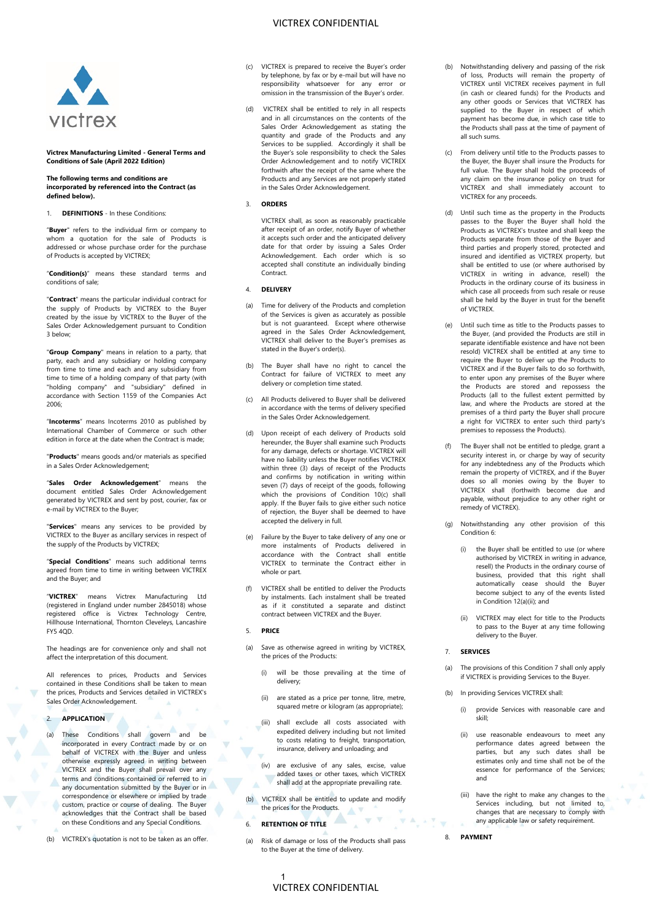# VICTREX CONFIDENTIAL



### **Victrex Manufacturing Limited - General Terms and Conditions of Sale (April 2022 Edition)**

#### **The following terms and conditions are incorporated by referenced into the Contract (as defined below).**

#### 1. **DEFINITIONS** - In these Conditions:

"**Buyer**" refers to the individual firm or company to whom a quotation for the sale of Products is addressed or whose purchase order for the purchase of Products is accepted by VICTREX;

"**Condition(s)**" means these standard terms and conditions of sale;

"**Contract**" means the particular individual contract for the supply of Products by VICTREX to the Buyer created by the issue by VICTREX to the Buyer of the Sales Order Acknowledgement pursuant to Condition 3 below;

"**Group Company**" means in relation to a party, that party, each and any subsidiary or holding company from time to time and each and any subsidiary from time to time of a holding company of that party (with "holding company" and "subsidiary" defined in accordance with Section 1159 of the Companies Act 2006;

"**Incoterms**" means Incoterms 2010 as published by International Chamber of Commerce or such other edition in force at the date when the Contract is made;

"**Products**" means goods and/or materials as specified in a Sales Order Acknowledgement;

"**Sales Order Acknowledgement**" means the document entitled Sales Order Acknowledgement generated by VICTREX and sent by post, courier, fax or e-mail by VICTREX to the Buyer;

"**Services**" means any services to be provided by VICTREX to the Buyer as ancillary services in respect of the supply of the Products by VICTREX;

"**Special Conditions**" means such additional terms agreed from time to time in writing between VICTREX and the Buyer; and

"**VICTREX**" means Victrex Manufacturing Ltd (registered in England under number 2845018) whose registered office is Victrex Technology Centre, Hillhouse International, Thornton Cleveleys, Lancashire **FY5 40D** 

The headings are for convenience only and shall not affect the interpretation of this document.

All references to prices, Products and Services contained in these Conditions shall be taken to mean the prices, Products and Services detailed in VICTREX's Sales Order Acknowledgement.

# 2. **APPLICATION**

- (a) These Conditions shall govern and be incorporated in every Contract made by or on behalf of VICTREX with the Buyer and unless otherwise expressly agreed in writing between VICTREX and the Buyer shall prevail over any terms and conditions contained or referred to in any documentation submitted by the Buyer or in correspondence or elsewhere or implied by trade custom, practice or course of dealing. The Buyer acknowledges that the Contract shall be based on these Conditions and any Special Conditions.
- (b) VICTREX's quotation is not to be taken as an offer.
- (c) VICTREX is prepared to receive the Buyer's order by telephone, by fax or by e-mail but will have no responsibility whatsoever for any error or omission in the transmission of the Buyer's order.
- (d) VICTREX shall be entitled to rely in all respects and in all circumstances on the contents of the Sales Order Acknowledgement as stating the quantity and grade of the Products and any Services to be supplied. Accordingly it shall be the Buyer's sole responsibility to check the Sales Order Acknowledgement and to notify VICTREX forthwith after the receipt of the same where the Products and any Services are not properly stated in the Sales Order Acknowledgement.

#### 3. **ORDERS**

VICTREX shall, as soon as reasonably practicable after receipt of an order, notify Buyer of whether it accepts such order and the anticipated delivery date for that order by issuing a Sales Order Acknowledgement. Each order which is so accepted shall constitute an individually binding Contract.

# 4. **DELIVERY**

- (a) Time for delivery of the Products and completion of the Services is given as accurately as possible but is not guaranteed. Except where otherwise agreed in the Sales Order Acknowledgement, VICTREX shall deliver to the Buyer's premises as stated in the Buyer's order(s).
- (b) The Buyer shall have no right to cancel the Contract for failure of VICTREX to meet any delivery or completion time stated.
- (c) All Products delivered to Buyer shall be delivered in accordance with the terms of delivery specified in the Sales Order Acknowledgement.
- <span id="page-0-2"></span>(d) Upon receipt of each delivery of Products sold hereunder, the Buyer shall examine such Products for any damage, defects or shortage. VICTREX will have no liability unless the Buyer notifies VICTREX within three (3) days of receipt of the Products and confirms by notification in writing within seven (7) days of receipt of the goods, following which the provisions of Condition [10\(c\)](#page-1-0) shall apply. If the Buyer fails to give either such notice of rejection, the Buyer shall be deemed to have accepted the delivery in full.
- (e) Failure by the Buyer to take delivery of any one or more instalments of Products delivered in accordance with the Contract shall entitle VICTREX to terminate the Contract either in whole or part.
- (f) VICTREX shall be entitled to deliver the Products by instalments. Each instalment shall be treated as if it constituted a separate and distinct contract between VICTREX and the Buyer.

# 5. **PRICE**

- Save as otherwise agreed in writing by VICTREX, the prices of the Products:
	- (i) will be those prevailing at the time of delivery;
	- (ii) are stated as a price per tonne, litre, metre, squared metre or kilogram (as appropriate);
	- (iii) shall exclude all costs associated with expedited delivery including but not limited to costs relating to freight, transportation, insurance, delivery and unloading; and
	- (iv) are exclusive of any sales, excise, value added taxes or other taxes, which VICTREX shall add at the appropriate prevailing rate.
- (b) VICTREX shall be entitled to update and modify the prices for the Products. AV

 $\overline{\mathbf{v}}$ 

- <span id="page-0-0"></span>6. **RETENTION OF TITLE**
- Risk of damage or loss of the Products shall pass to the Buyer at the time of delivery.
- (b) Notwithstanding delivery and passing of the risk of loss, Products will remain the property of VICTREX until VICTREX receives payment in full (in cash or cleared funds) for the Products and any other goods or Services that VICTREX has supplied to the Buyer in respect of which payment has become due, in which case title to the Products shall pass at the time of payment of all such sums.
- (c) From delivery until title to the Products passes to the Buyer, the Buyer shall insure the Products for full value. The Buyer shall hold the proceeds of any claim on the insurance policy on trust for VICTREX and shall immediately account to VICTREX for any proceeds.
- (d) Until such time as the property in the Products passes to the Buyer the Buyer shall hold the Products as VICTREX's trustee and shall keep the Products separate from those of the Buyer and third parties and properly stored, protected and insured and identified as VICTREX property, but shall be entitled to use (or where authorised by VICTREX in writing in advance, resell) the Products in the ordinary course of its business in which case all proceeds from such resale or reuse shall be held by the Buyer in trust for the benefit of VICTREX.
- (e) Until such time as title to the Products passes to the Buyer, (and provided the Products are still in separate identifiable existence and have not been resold) VICTREX shall be entitled at any time to require the Buyer to deliver up the Products to VICTREX and if the Buyer fails to do so forthwith, to enter upon any premises of the Buyer where the Products are stored and repossess the Products (all to the fullest extent permitted by law, and where the Products are stored at the premises of a third party the Buyer shall procure a right for VICTREX to enter such third party's premises to repossess the Products).
- (f) The Buyer shall not be entitled to pledge, grant a security interest in, or charge by way of security for any indebtedness any of the Products which remain the property of VICTREX, and if the Buyer does so all monies owing by the Buyer to VICTREX shall (forthwith become due and payable, without prejudice to any other right or remedy of VICTREX).
- Notwithstanding any other provision of this Conditio[n 6:](#page-0-0)
	- the Buyer shall be entitled to use (or where authorised by VICTREX in writing in advance, resell) the Products in the ordinary course of business, provided that this right shall automatically cease should the Buyer become subject to any of the events listed in Condition 12(a)(ii); and
	- (ii) VICTREX may elect for title to the Products to pass to the Buyer at any time following delivery to the Buyer.

# <span id="page-0-1"></span>7. **SERVICES**

- The provisions of this Conditio[n 7](#page-0-1) shall only apply if VICTREX is providing Services to the Buyer.
- In providing Services VICTREX shall:
	- (i) provide Services with reasonable care and skill;
	- (ii) use reasonable endeavours to meet any performance dates agreed between the parties, but any such dates shall be estimates only and time shall not be of the essence for performance of the Services; and
	- (iii) have the right to make any changes to the Services including, but not limited to, changes that are necessary to comply with any applicable law or safety requirement.

### 8. **PAYMENT**

 $\overline{\mathcal{A}}$ 

1 VICTREX CONFIDENTIAL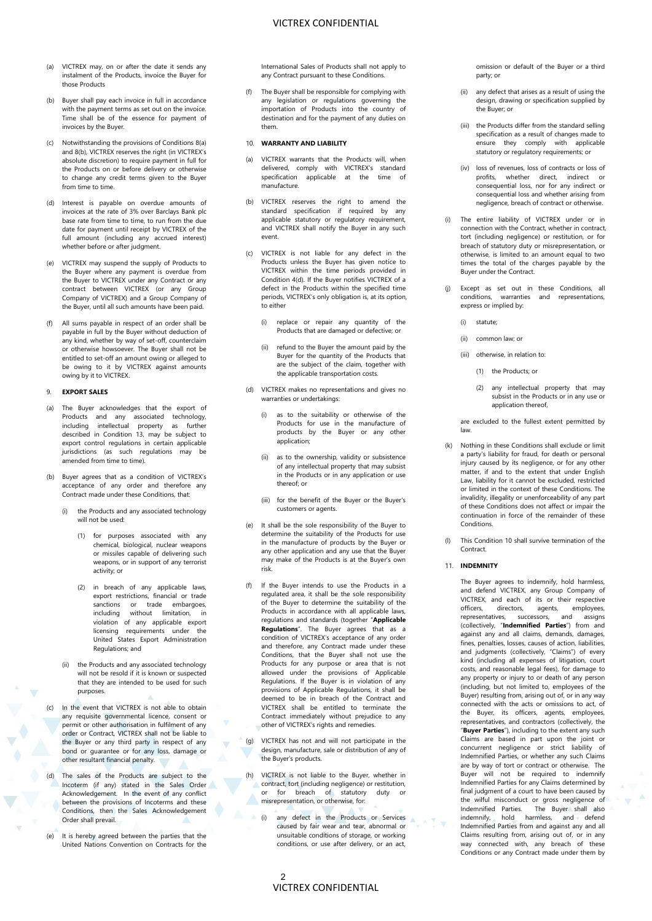- VICTREX CONFIDENTIAL
- <span id="page-1-1"></span>(a) VICTREX may, on or after the date it sends any instalment of the Products, invoice the Buyer for those Products
- <span id="page-1-2"></span>(b) Buyer shall pay each invoice in full in accordance with the payment terms as set out on the invoice. Time shall be of the essence for payment of invoices by the Buyer.
- (c) Notwithstanding the provisions of Condition[s 8\(a\)](#page-1-1) an[d 8\(b\),](#page-1-2) VICTREX reserves the right (in VICTREX's absolute discretion) to require payment in full for the Products on or before delivery or otherwise to change any credit terms given to the Buyer from time to time.
- (d) Interest is payable on overdue amounts of invoices at the rate of 3% over Barclays Bank plc base rate from time to time, to run from the due date for payment until receipt by VICTREX of the full amount (including any accrued interest) whether before or after judgment.
- (e) VICTREX may suspend the supply of Products to the Buyer where any payment is overdue from the Buyer to VICTREX under any Contract or any contract between VICTREX (or any Group Company of VICTREX) and a Group Company of the Buyer, until all such amounts have been paid.
- (f) All sums payable in respect of an order shall be payable in full by the Buyer without deduction of any kind, whether by way of set-off, counterclaim or otherwise howsoever. The Buyer shall not be entitled to set-off an amount owing or alleged to be owing to it by VICTREX against amounts owing by it to VICTREX.

# 9. **EXPORT SALES**

- (a) The Buyer acknowledges that the export of Products and any associated technology, including intellectual property as further described in Condition 13, may be subject to export control regulations in certain applicable jurisdictions (as such regulations may be amended from time to time).
- (b) Buyer agrees that as a condition of VICTREX's acceptance of any order and therefore any Contract made under these Conditions, that:
	- (i) the Products and any associated technology will not be used:
		- (1) for purposes associated with any chemical, biological, nuclear weapons or missiles capable of delivering such weapons, or in support of any terrorist activity; or
		- (2) in breach of any applicable laws, export restrictions, financial or trade sanctions or trade embargoes,<br>including without limitation, in without limitation, in violation of any applicable export licensing requirements under the United States Export Administration Regulations; and
	- (ii) the Products and any associated technology will not be resold if it is known or suspected that they are intended to be used for such purposes.
- (c) In the event that VICTREX is not able to obtain any requisite governmental licence, consent or permit or other authorisation in fulfilment of any order or Contract, VICTREX shall not be liable to the Buyer or any third party in respect of any bond or guarantee or for any loss, damage or other resultant financial penalty.
- (d) The sales of the Products are subject to the Incoterm (if any) stated in the Sales Order Acknowledgement. In the event of any conflict between the provisions of Incoterms and these Conditions, then the Sales Acknowledgement Order shall prevail.
- (e) It is hereby agreed between the parties that the United Nations Convention on Contracts for the

International Sales of Products shall not apply to any Contract pursuant to these Conditions.

(f) The Buyer shall be responsible for complying with any legislation or regulations governing the importation of Products into the country of destination and for the payment of any duties on them.

# 10. **WARRANTY AND LIABILITY**

- VICTREX warrants that the Products will, when delivered, comply with VICTREX's standard specification applicable at the time of manufacture.
- <span id="page-1-0"></span>(b) VICTREX reserves the right to amend the standard specification if required by any applicable statutory or regulatory requirement, and VICTREX shall notify the Buyer in any such event.
- (c) VICTREX is not liable for any defect in the Products unless the Buyer has given notice to VICTREX within the time periods provided in Condition [4\(d\).](#page-0-2) If the Buyer notifies VICTREX of a defect in the Products within the specified time periods, VICTREX's only obligation is, at its option, to either
	- (i) replace or repair any quantity of the Products that are damaged or defective; or
	- (ii) refund to the Buyer the amount paid by the Buyer for the quantity of the Products that are the subject of the claim, together with the applicable transportation costs.
- VICTREX makes no representations and gives no warranties or undertakings:
	- (i) as to the suitability or otherwise of the Products for use in the manufacture of products by the Buyer or any other application;
	- (ii) as to the ownership, validity or subsistence of any intellectual property that may subsist in the Products or in any application or use thereof; or
	- (iii) for the benefit of the Buyer or the Buyer's customers or agents.
- (e) It shall be the sole responsibility of the Buyer to determine the suitability of the Products for use in the manufacture of products by the Buyer or any other application and any use that the Buyer may make of the Products is at the Buyer's own risk.
- (f) If the Buyer intends to use the Products in a regulated area, it shall be the sole responsibility of the Buyer to determine the suitability of the Products in accordance with all applicable laws, regulations and standards (together "**Applicable Regulations**". The Buyer agrees that as a condition of VICTREX's acceptance of any order and therefore, any Contract made under these Conditions, that the Buyer shall not use the Products for any purpose or area that is not allowed under the provisions of Applicable Regulations. If the Buyer is in violation of any provisions of Applicable Regulations, it shall be deemed to be in breach of the Contract and VICTREX shall be entitled to terminate the Contract immediately without prejudice to any other of VICTREX's rights and remedies.
- (g) VICTREX has not and will not participate in the design, manufacture, sale or distribution of any of the Buyer's products.
- (h) VICTREX is not liable to the Buyer, whether in contract, tort (including negligence) or restitution, or for breach of statutory duty or misrepresentation, or otherwise, for:
	- (i) any defect in the Products or Services caused by fair wear and tear, abnormal or unsuitable conditions of storage, or working conditions, or use after delivery, or an act,

omission or default of the Buyer or a third party; or

- (ii) any defect that arises as a result of using the design, drawing or specification supplied by the Buyer; or
- (iii) the Products differ from the standard selling specification as a result of changes made to ensure they comply with applicable statutory or regulatory requirements; or
- (iv) loss of revenues, loss of contracts or loss of profits, whether direct, indirect or consequential loss, nor for any indirect or consequential loss and whether arising from negligence, breach of contract or otherwise.
- (i) The entire liability of VICTREX under or in connection with the Contract, whether in contract, tort (including negligence) or restitution, or for breach of statutory duty or misrepresentation, or otherwise, is limited to an amount equal to two times the total of the charges payable by the Buyer under the Contract.
- (j) Except as set out in these Conditions, all conditions, warranties and representations, express or implied by:
	- (i) statute;
	- (ii) common law; or
	- (iii) otherwise, in relation to:
		- (1) the Products; or
		- (2) any intellectual property that may subsist in the Products or in any use or application thereof,

are excluded to the fullest extent permitted by law.

- (k) Nothing in these Conditions shall exclude or limit a party's liability for fraud, for death or personal injury caused by its negligence, or for any other matter, if and to the extent that under English Law, liability for it cannot be excluded, restricted or limited in the context of these Conditions. The invalidity, illegality or unenforceability of any part of these Conditions does not affect or impair the continuation in force of the remainder of these **Conditions**
- (l) This Condition 10 shall survive termination of the **Contract**

#### 11. **INDEMNITY**

The Buyer agrees to indemnify, hold harmless, and defend VICTREX, any Group Company of VICTREX, and each of its or their respective<br>officers. directors. agents. employees. directors, agents, employees, representatives, successors, and assigns (collectively, "**Indemnified Parties**") from and against any and all claims, demands, damages, fines, penalties, losses, causes of action, liabilities, and judgments (collectively, "Claims") of every kind (including all expenses of litigation, court costs, and reasonable legal fees), for damage to any property or injury to or death of any person (including, but not limited to, employees of the Buyer) resulting from, arising out of, or in any way connected with the acts or omissions to act, of the Buyer, its officers, agents, employees, representatives, and contractors (collectively, the "**Buyer Parties**"), including to the extent any such Claims are based in part upon the joint or concurrent negligence or strict liability of Indemnified Parties, or whether any such Claims are by way of tort or contract or otherwise. The Buyer will not be required to indemnify Indemnified Parties for any Claims determined by final judgment of a court to have been caused by the wilful misconduct or gross negligence of Indemnified Parties. The Buyer shall also indemnify, hold harmless, and defend Indemnified Parties from and against any and all Claims resulting from, arising out of, or in any way connected with, any breach of these Conditions or any Contract made under them by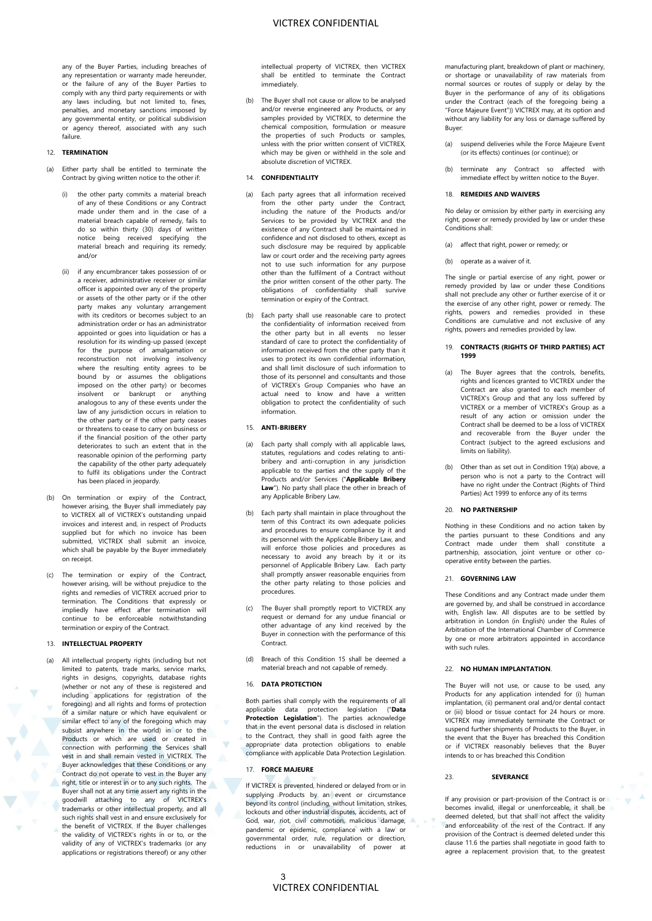any of the Buyer Parties, including breaches of any representation or warranty made hereunder, or the failure of any of the Buyer Parties to comply with any third party requirements or with any laws including, but not limited to, fines, penalties, and monetary sanctions imposed by any governmental entity, or political subdivision or agency thereof, associated with any such failure.

# 12. **TERMINATION**

- (a) Either party shall be entitled to terminate the Contract by giving written notice to the other if:
	- (i) the other party commits a material breach of any of these Conditions or any Contract made under them and in the case of a material breach capable of remedy, fails to do so within thirty (30) days of written notice being received specifying the material breach and requiring its remedy; and/or
	- (ii) if any encumbrancer takes possession of or a receiver, administrative receiver or similar officer is appointed over any of the property or assets of the other party or if the other party makes any voluntary arrangement with its creditors or becomes subject to an administration order or has an administrator appointed or goes into liquidation or has a resolution for its winding-up passed (except for the purpose of amalgamation or reconstruction not involving insolvency where the resulting entity agrees to be bound by or assumes the obligations imposed on the other party) or becomes insolvent or bankrupt or anything analogous to any of these events under the law of any jurisdiction occurs in relation to the other party or if the other party ceases or threatens to cease to carry on business or if the financial position of the other party deteriorates to such an extent that in the reasonable opinion of the performing party the capability of the other party adequately to fulfil its obligations under the Contract has been placed in jeopardy.
- (b) On termination or expiry of the Contract, however arising, the Buyer shall immediately pay to VICTREX all of VICTREX's outstanding unpaid invoices and interest and, in respect of Products supplied but for which no invoice has been submitted, VICTREX shall submit an invoice, which shall be payable by the Buyer immediately on receipt.
- (c) The termination or expiry of the Contract, however arising, will be without prejudice to the rights and remedies of VICTREX accrued prior to termination. The Conditions that expressly or impliedly have effect after termination will continue to be enforceable notwithstanding termination or expiry of the Contract.

#### 13. **INTELLECTUAL PROPERTY**

(a) All intellectual property rights (including but not limited to patents, trade marks, service marks, rights in designs, copyrights, database rights (whether or not any of these is registered and including applications for registration of the foregoing) and all rights and forms of protection of a similar nature or which have equivalent or similar effect to any of the foregoing which may subsist anywhere in the world) in or to the Products or which are used or created in connection with performing the Services shall vest in and shall remain vested in VICTREX. The Buyer acknowledges that these Conditions or any Contract do not operate to vest in the Buyer any right, title or interest in or to any such rights. The Buyer shall not at any time assert any rights in the goodwill attaching to any of VICTREX's trademarks or other intellectual property, and all such rights shall vest in and ensure exclusively for the benefit of VICTREX. If the Buyer challenges the validity of VICTREX's rights in or to, or the validity of any of VICTREX's trademarks (or any applications or registrations thereof) or any other

intellectual property of VICTREX, then VICTREX shall be entitled to terminate the Contract immediately.

(b) The Buyer shall not cause or allow to be analysed and/or reverse engineered any Products, or any samples provided by VICTREX, to determine the chemical composition, formulation or measure the properties of such Products or samples, unless with the prior written consent of VICTREX, which may be given or withheld in the sole and absolute discretion of VICTREX.

# 14. **CONFIDENTIALITY**

- (a) Each party agrees that all information received from the other party under the Contract, including the nature of the Products and/or Services to be provided by VICTREX and the existence of any Contract shall be maintained in confidence and not disclosed to others, except as such disclosure may be required by applicable law or court order and the receiving party agrees not to use such information for any purpose other than the fulfilment of a Contract without the prior written consent of the other party. The obligations of confidentiality shall survive termination or expiry of the Contract.
- Each party shall use reasonable care to protect the confidentiality of information received from the other party but in all events no lesser standard of care to protect the confidentiality of information received from the other party than it uses to protect its own confidential information, and shall limit disclosure of such information to those of its personnel and consultants and those of VICTREX's Group Companies who have an actual need to know and have a written obligation to protect the confidentiality of such information.

# 15. **ANTI-BRIBERY**

- (a) Each party shall comply with all applicable laws, statutes, regulations and codes relating to antibribery and anti-corruption in any jurisdiction applicable to the parties and the supply of the Products and/or Services ("**Applicable Bribery Law**"). No party shall place the other in breach of any Applicable Bribery Law.
- (b) Each party shall maintain in place throughout the term of this Contract its own adequate policies and procedures to ensure compliance by it and its personnel with the Applicable Bribery Law, and will enforce those policies and procedures as necessary to avoid any breach by it or its personnel of Applicable Bribery Law. Each party shall promptly answer reasonable enquiries from the other party relating to those policies and procedures.
- (c) The Buyer shall promptly report to VICTREX any request or demand for any undue financial or other advantage of any kind received by the Buyer in connection with the performance of this Contract.
- Breach of this Condition 15 shall be deemed a material breach and not capable of remedy.

#### 16. **DATA PROTECTION**

Both parties shall comply with the requirements of all applicable data protection legislation ("**Data Protection Legislation**"). The parties acknowledge that in the event personal data is disclosed in relation to the Contract, they shall in good faith agree the appropriate data protection obligations to enable compliance with applicable Data Protection Legislation.

# 17. **FORCE MAJEURE**

If VICTREX is prevented, hindered or delayed from or in supplying Products by an event or circumstance beyond its control (including, without limitation, strikes, lockouts and other industrial disputes, accidents, act of God, war, riot, civil commotion, malicious damage, pandemic or epidemic, compliance with a law or governmental order, rule, regulation or direction, reductions in or unavailability of power at

manufacturing plant, breakdown of plant or machinery, or shortage or unavailability of raw materials from normal sources or routes of supply or delay by the Buyer in the performance of any of its obligations under the Contract (each of the foregoing being a "Force Majeure Event")) VICTREX may, at its option and without any liability for any loss or damage suffered by Buyer:

- (a) suspend deliveries while the Force Majeure Event (or its effects) continues (or continue); or
- (b) terminate any Contract so affected with immediate effect by written notice to the Buyer.

## 18. **REMEDIES AND WAIVERS**

No delay or omission by either party in exercising any right, power or remedy provided by law or under these Conditions shall:

- affect that right, power or remedy; or
- (b) operate as a waiver of it.

The single or partial exercise of any right, power or remedy provided by law or under these Conditions shall not preclude any other or further exercise of it or the exercise of any other right, power or remedy. The rights, powers and remedies provided in these Conditions are cumulative and not exclusive of any rights, powers and remedies provided by law.

#### 19. **CONTRACTS (RIGHTS OF THIRD PARTIES) ACT 1999**

- <span id="page-2-0"></span>(a) The Buyer agrees that the controls, benefits, rights and licences granted to VICTREX under the Contract are also granted to each member of VICTREX's Group and that any loss suffered by VICTREX or a member of VICTREX's Group as a result of any action or omission under the Contract shall be deemed to be a loss of VICTREX and recoverable from the Buyer under the Contract (subject to the agreed exclusions and limits on liability).
- (b) Other than as set out in Conditio[n 19\(a\)](#page-2-0) above, a person who is not a party to the Contract will .<br>have no right under the Contract (Rights of Third Parties) Act 1999 to enforce any of its terms

# 20. **NO PARTNERSHIP**

Nothing in these Conditions and no action taken by the parties pursuant to these Conditions and any Contract made under them shall constitute a partnership, association, joint venture or other cooperative entity between the parties.

#### 21. **GOVERNING LAW**

These Conditions and any Contract made under them are governed by, and shall be construed in accordance with, English law. All disputes are to be settled by arbitration in London (in English) under the Rules of Arbitration of the International Chamber of Commerce by one or more arbitrators appointed in accordance with such rules.

#### 22. **NO HUMAN IMPLANTATION**.

The Buyer will not use, or cause to be used, any Products for any application intended for (i) human implantation, (ii) permanent oral and/or dental contact or (iii) blood or tissue contact for 24 hours or more. VICTREX may immediately terminate the Contract or suspend further shipments of Products to the Buyer, in the event that the Buyer has breached this Condition or if VICTREX reasonably believes that the Buyer intends to or has breached this Condition

# 23. **SEVERANCE**

If any provision or part-provision of the Contract is or becomes invalid, illegal or unenforceable, it shall be deemed deleted, but that shall not affect the validity and enforceability of the rest of the Contract. If any provision of the Contract is deemed deleted under this clause 11.6 the parties shall negotiate in good faith to agree a replacement provision that, to the greatest